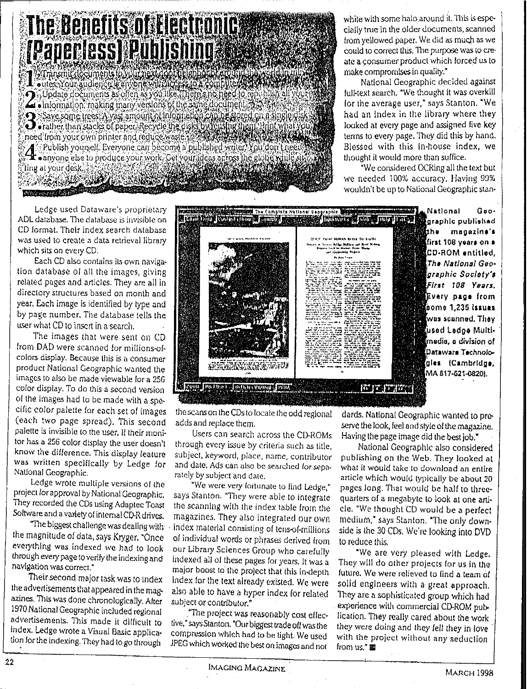## The Benefits of Electronic *[Paperless] Publishing & Care*

Terms in the complete to your next door the bottom double of 4 . Information: making many versions of the same document of Save spine trees: A vast amount of Indometrica police stored on a single development of the disk by responding them. A Publish yourself. Everyone can become a published writer. You don't nee 4 .anyone else to produce your work, Cet your ideas across the globe  $\lim_{x\to a}$  at your desk,  $\frac{1}{2}$ **TERRATOR AND AND STATE NEW YORK OF THE TENDENT** 

white with some halo around it. This is especially true In the olderdocuments, scanned from yellowed paper. We did as much as we could to correct this. The purpose was to create a consumer product which forced us to make compromises in quality."

National Geographic decided against full-text search. "We thought It was overkill for the average user," says Stanton. "We had an index in the library where they looked at every page and assigned five key terms to every page.They did this by hand. Blessed with this in-house index, we thought itwouldmore thansuffice.

"We considered OCRing all the text but we needed 100% accuracy. Having 99% wouldn't be up to National Geographic stan-

Ledge used Dalaware's proprietary ADL database. The database is invisible on CO formal. Their index search database was used to create a data retrieval library which sits on every CD.

Each CD also contains its own navigation database of all the images, giving related pages and articles. They are all in directory structures based on month and year. Each image is identified by type and by page number. The database tells the user what CD to insert in a search.

The images that were sent on CD from DAD were scanned for millions-ofcolors display. Because this is a consumer product National Geographic wanted the images to also be made viewable lora 256 color display, To do this a second version of the images had to be made with a specific color palette for each set of images (each two page spread). This second adds and replace them.<br>palette is invisible to the user. If their moni- Users can search palette is invisible to the user. If their moni-<br>tor has a 256 color display the user doesn't through every issue by criteria such as title

...<br>In the bya subject and date.<br>Ledge wrote multiple versions of the "We were very fortune" Ledge wrote multiple versions of the "We were very fortunate to find Ledge,"<br>project lor approval by National Geographic. says Stanton. "They were able to integrate

azines. This was done chronologically. After subject or contributor."<br>1970 National Geographic included regional "The project was 1970 National Geographic included regional "The project was reasonably cost effec-<br>advertisements. This made it difficult to tive." says Stanton "Our biggest trade off was the



the scans on the CDs to locate the odd regional

for has a 256 color display the user doesn't through every issue by criteria such as title.<br>know the difference. This display feature – subject, keyword, place, name, contributor know the difference. This display feature subject, keyword, place, name, contributor<br>was written specifically by Ledge for and date. Ads can also be searched for sepawas written specifically by Ledge for and date. Ads can also be searched for sepa-<br>National Geographic.

project lor approval by National Geographic. says Stanton. "They were able to integrate<br>They recorded the CDs using Adaptec Toast – the scanning with the index table from the They recorded the CDs using Adaptec Toast the scanning with the index table from the<br>Software and a variety of internal CD-R drives. In magazines. They also integrated our own vare and a variety of internal CD-R drives. Il magazines. They also Integrated our own<br>"The biggest challenge was dealing with is index material consisting of tense (cmillions) The biggest challenge was dealing with lindex material consisting of tens-of-millions the magnitude of data, says Kryger, "Once lindividual words or phrases derived from the magnitude of data, says Kryger. "Once of individual words or phrases derived from<br>everything was indexed we had to look our Library Sciences Group who carefully everything was indexed we had to look our Library Sciences Group who carefully<br>through every page to verify the indexing and onlinexed all of these pages for vears. It was a through every page to verify the indexing and indexed all of these pages for years. It was a<br>maint boost to the project that this is also as gation was correct."<br>Their second major task was to index index for the text already existed. We were Their second major task was to index index for the text already existed. We were<br>the advertisements that appeared in the mage also able to have a hyper-index for related also able to have a hyper index for related

advertisements. This made it difficult to tive," says Stanton. "Our biggest trade off was the<br>index. Ledge wrote a Visual Basic applica- compression which had to be tight. We used index. Ledge wrote a Visual Basic applica- compression which had to be tight. We used<br>tion for the indexing. They had to go through - JPEG which worked the best on images and not JPEG which worked the best on images and not

dards, Natlonai Geographic wanted to preserve the look, feel and style of the magazine. Having the page image did the best  $\overline{ob}$ ."

National Geographic also considered publishing on the Web. They looked at what it would take to download an entire article which would typically be about 20 pages long. Thai would be half to threequarters of a megabyte to look at one article. ·We thought CD would be a perfect medium," says Stanton, "The only downside is the 30CDs. We're looking into DVD to reduce this.

"We are very pleased with Ledge. They will do other projects lor us In the future. Wewere relieved to find a team of solid engineers with a great approach. They are a sophisticated group which had . experience with commercial CI).ROM publication. Theyreally cared about the work they were doing and they fell they in love with the project without any seduction from us." 画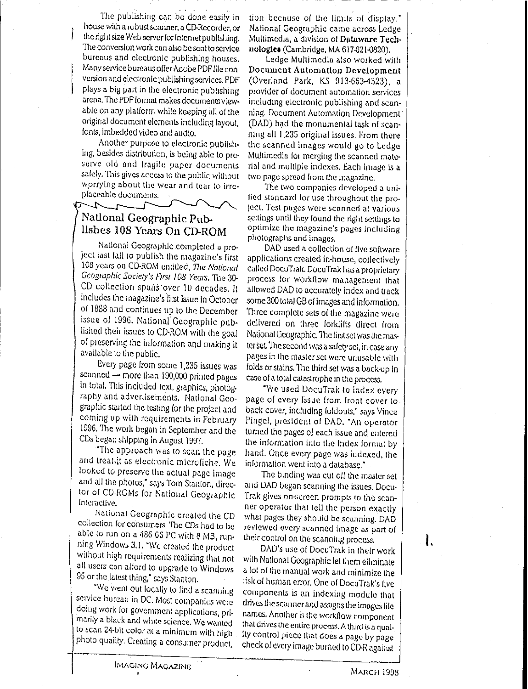· , TIle publishing can be done easi'y in house with a robust scanner, a CD-Recorder, or the right size Web server for Internet publishing. The conversion work can also be sent to service bureaus and electronic publishing houses, Many service bureaus offer Adobe PDF file conversion andelectronic publishing services. PDF plays a big part in the electronic pUblishing arena. The PDF format makes documents viewable on any platform while keeping all of the original document elements including layout, fonts, imbedded video and audio.

Another purpose to electronic pUblishing, besides distribution, is being able to preserve old and fragile paper documents safely. This gives access to the public without worrying about the wear and lear 10 irrcplaceable documents. .

National Geographic Put>. Ilshes 108 Years On CD-ROM

Natlonal Geographic completed a project last fall 10 publish the magazine's first 108years on CD-ROM entitled, *Tlie Notionat* Geographic Society's First 108 Years, The 30-CD collection spans'over 10 decades, It includes the magazine's first issue in October 011888 and continues up to the December issue of 1996, National Geographic published their issues 10 CD·ROM with lhc goal of preserving the information and makingit available to the public.

Every page from some 1,235 issues was scanned - more than 190,000 printed pages in total. This included text, graphics, photography and advertlsernents. National Geographic started the lesting for the project and coming up with requirements in February 1996. The work began in September and the CDs began shipping in August 1997.

"The approach was to scan the page and treat.it as electronic microfiche, We looked to preserve the actual pagc image and all the photos," says Tom Stanton, director of CD-ROMs for National Geographic Intcractlvo,

National Ceographic created Ihe CD collection lor consumers, TheCDs had <sup>10</sup> be able to run on a 486 66 PC with 8 MB, running Windows 3, I, "We created the product without high requirements realizing that not all users can alford to upgrade to Windows 95 or the latest thing," says Stanton.

"We went out locally to find a scanning service bureau in DC. Most companies were doing work for government applications, primarily a black and white science. We wanted to scan 24-bit color at a minimum with high photo quality, Creating a consumer product, tion because of the limits of display." National Ccogruphic came across Ledge Multimedia, a division of Dataware Technologies (Cambridge, MA 617-621-0820).

Ledge Multimedia also worked with Document Automatton Development (Overland Park, KS 913-663-4323), a provider of document automation services including electronic publishing and scanning. Document Automation Development (DAD) had the monumental task 01 scanning all 1,235 original issues. From there the scanned images would go to Ledge Multimedia for merging the scanned material and multiple indexes, Each image is a **twopage spread from UH:: magazine.**

The two companies developed a unified standard for use throughout the pro' iect. Test pages were scanned at various settings until they found the right settings to optimize the magazine's pages including **photographs** and images,

DAD used a collection of five software apphcations created in-house, collectively called DocuTrak, DocuTrak has a proprietary process lor workflow management that allowed DAD to accurately index and track some 300 total GB ofimages andinformation, Three complete sets of the magazine were delivered on three forklifts direct from National Geographic, The first set was the maxterset. The second was a safety set, in case any pages in the master set were unusable with folds or stains. The third set was a back-up in case of a total catastrophe in the process.

"We used DocuTrak to index every page <sup>01</sup> every Issue from front cover to back cover, including foldouts," says Vince Pingel, president 01 DAD, "An operator turned the pages of each issue and entered the inlormation into the Index formal by hand, Once everypage was indexed, the inlormation wentinto a database,"

The binding was cut off the master set and DAD began scanning the issues, Docu-Trak gives on-screen prompts to the scanner operator that lell the person exactly what pages they should be scanning, DAD reviewed every scanned image as part of their control on the scanning process,

DAD's use of DocuTrak in their work with National Geographic lei them eliminate a lot of the manual work and minimize the risk of human error. One of Docu'Irak's five components is an indexing module that drives the scanner and assigns the images file names, Another istIlc workflowcomponent that **drives** the **enlireprocc=J.\$. A U1ird isa** quality control piece that does a page by page check of every image burned to CD-R against

ł.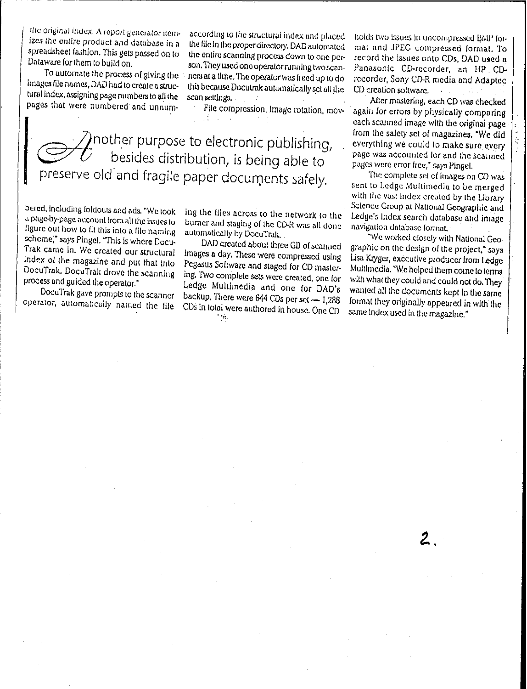the original index. A report generator itemizes the entire product and database in a spreadsheet fashion. This gets passed on to Dataware for them to build on.

To automate the process of giving the images file names. DAD had to create a structural index, assigning page numbers to all the pages that were numbered and unnum-

according to the structural index and placed the file in the proper directory. DAD automated the entire scanning process down to one person. They used one operator running two scanners at a time. The operator was freed up to do this because Docutrak automatically set all the scan settings.  $\sim$ 

File compression, image rotation, mov-

 $\gamma$ nother purpose to electronic pùblishing, besides distribution, is being able to preserve old and fragile paper documents safely.

bered, including foldouts and ads. "We took a page-by-page account from all the issues to figure out how to fit this into a file naming scheme," says Pingel. "This is where Docu-Trak came in. We created our structural Index of the magazine and put that into DocuTrak. DocuTrak drove the scanning process and guided the operator."

DocuTrak gave prompts to the scanner operator, automatically named the file ing the files across to the network to the burner and staging of the CD-R was all done automatically by DocuTrak.

DAD created about three GB of scanned Images a day. These were compressed using Pegasus Soliware and staged for CD mastering. Two complete sets were created, one for Ledge Multimedia and one for DAD's backup. There were 644 CDs per set - 1,288 CDs In total were authored in house. One CD  $\mathcal{L}_{\mathrm{max}}$ 

holds two issues in uncompressed BMP format and JPEG compressed format. To record the issues onto CDs. DAD used a Panasonic CD-recorder, an HP CDrecorder, Sony CD-R media and Adaptec CD creation soltware.  $\sim 10^{-1}$ 

After mastering, each CD was checked again for errors by physically comparing each scanned image with the original page from the safety set of magazines. "We did everything we could to make sure every page was accounted for and the scanned pages were error free," says Pingel.

The complete set of images on CD was sent to Ledge Multimedia to be merged with the vast index created by the Library Science Group at National Geographic and Ledge's Index search database and image navigation database format,

"We worked closely with National Geographic on the design of the project," says Lisa Kryger, executive producer from Ledge Multimedia, "We helped them come to terms with what they could and could not do. They wanted all the documents kept in the same format they originally appeared in with the same index used in the magazine."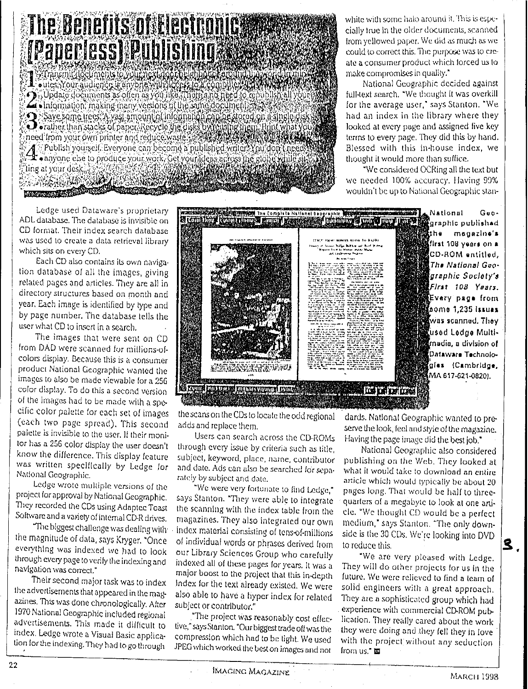## **The Benefits of Electronics of** *[Paperless] Publishing Second*

Thansmithedments to you he states to hat a computer and the A sinformation, making many versions of the sune document. Save some trees. A vast amount of the sung document as when a street of the same trees. A vast amount of the disk contact of the stored on it single disk<br>Devaties than stacks of paper Recycle in Edisk by which in the momen Ting at your desk,  $\chi_2$ **The Community of the Community of the Community of the Community of the Community of the Community of the Community** 

white with some halo around it. This is especially true In the older documents. scanned from yellowed paper. We did as much as we could to correct this. The purpose was to create a consumer product which forced us to make compromises in quality."

National Geographic decided against full-text search, "We thought it was overkill for Ihe average user: says Stanton. ·We had an index in the library where they looked at every page and assigned five key terms to every page. They did this by hand. Blessed with this in-house index, we thought it would more than suffice.

"We considered OCRing all the text but we needed 100% accuracy. Having 99% wouldn't be up to National Geographic stan-

Ledge used Dataware's proprietary ADL database. The database is invisible on CD format. Their index search database was used to create a data retrieval library which sits on every CD.

Each CD also contains its own navigalion database of all the images, giving related pages and articles. They are all in directory structures based on month and year. Each image *is*identified by type and by page number. The database tells the user what CD 10 insert in a search.

The images that were sent on CD Irom DAD were scanned lor millions-ofcolors display. Because this is a consumer product National Geographic wanted the images 10 also be made viewable lor a 256 color display.To do this a second version of the images had to be made with a specific color palette for each set of images (each two page spread). This second adds and replace them,<br>palette is invisible to the user. If their moni- Users can search palette is invisible to the user. If their moni-<br>tor has a 256 color display the user doesn't through every issue by criteria such as title.

nal Geographic. rately by subject and date.<br>Ledge wrote multiple versions of the ratio were very fortun. Ledge wrote multiple versions of the "We were very fortunate to find Ledge,"<br>project for approval by National Geographic. Savs Stanton. "They were able to integrate

azines. This was done chronologically. Alter subject or contributor." 1970 National Geographic included regional "The project was reasonably cost effec-<br>advertisements. This made it difficult to the "says Stanton "Outbiddest toda offunction



the scans on the CDs to locate the odd regional

for has a 256 color display the user doesn't through every issue by criteria such as title,<br>know the difference. This display feature subject, keyword, place, name, contributor know the dillerence. This display feature subject, keyword, place, name, contributor<br>was written specifically by Ledge for and date. Ads can also be searched for sepawas written specifically by Ledge for and date. Ads can also be searched for sepa-<br>National Geographic. Tately by subject and data

project for approval by National Geographic. says Stanton. "They were able to integrate<br>They recorded the CDs using Adaptec Toast – the scanning with the index table from the They recorded the CDs using Adaptec Toast – the scanning with the index table from the<br>Software and a variety of internal CD-R drives. – magazines. They also integrated our OWD vare and a variety of internal CD-R drives. In magazines. They also Integrated our own<br>"The biggest challenge was dealing with is index material consisting of tense (millions The biggest challenge was dealing with . index material consisting of tens-of-millions the magnitude of data, says Kryger, "Once and individual words or phrases derived from the magnitude of data, says Kryger, "Once of individual words or phrases derived from<br>everything was indexed we had to look our Library Sciences Group who carefully everything was indexed we had to look our Library Sciences Group who carefully<br>through every page to verify the indexing and indexed all of these pages for years. It was a through every page to verily the indexing and indexed all of these pages for years. It was a<br>main boost to the main boost to the available to the distribution gation was correct."<br>Their second major task was to index lindex for the text already existed. We were Their second major task was to index Index for the text already existed. We were<br>the advertisements that appeared in the mage also able to have a fivner index for related also able to have a hyper index for related

advertisements. This made it difficult to tive," says Stanton. "Our biggest trade off was the<br>index, Ledge wrote a Visual Basic applica- compression which had to be fight. We used index, Ledge wrote a Visual Basic applica- compression which had 10be tight. We used JPEG which worked the best on images and not

dards, National Geographic wanted 10 preserve the look, feel and style of the magazine, Having the page image did the best job."

Nationa] Geographic also considered publishing on the Web. They looked at what it would take 10 download an entire article which would typically be about 20 pages long. That would be half to threequarters ol a megabyte to look at one ani. cle. "We thought CD would be a perfect medium," says Stanton. "The only downside is the 30 CDs. We're looking into DVD to reduce this,

"We are very pleased with Ledge. They will do other projects for us In the future. We were relieved to find a team of solid engineers with a great approach. They are a sophisticated group which had experience with commercial CD-ROM publication. They really cared about the work they were doing and they fell they in love with the project without any seduction Jrorn us: IIll

IMAGING ,Y!ACAl:INE "'lARCH <sup>1993</sup>